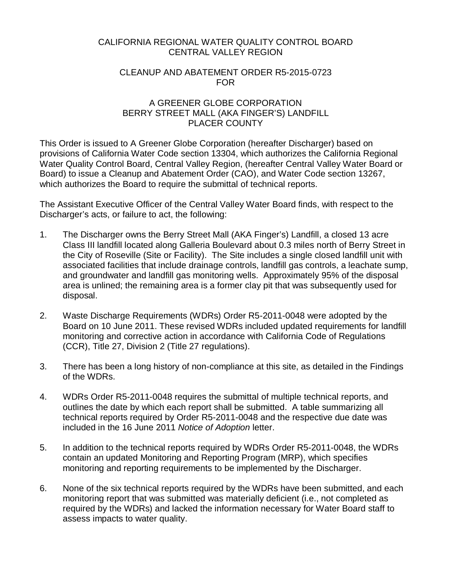#### CALIFORNIA REGIONAL WATER QUALITY CONTROL BOARD CENTRAL VALLEY REGION

## CLEANUP AND ABATEMENT ORDER R5-2015-0723 FOR

## A GREENER GLOBE CORPORATION BERRY STREET MALL (AKA FINGER'S) LANDFILL PLACER COUNTY

This Order is issued to A Greener Globe Corporation (hereafter Discharger) based on provisions of California Water Code section 13304, which authorizes the California Regional Water Quality Control Board, Central Valley Region, (hereafter Central Valley Water Board or Board) to issue a Cleanup and Abatement Order (CAO), and Water Code section 13267, which authorizes the Board to require the submittal of technical reports.

The Assistant Executive Officer of the Central Valley Water Board finds, with respect to the Discharger's acts, or failure to act, the following:

- 1. The Discharger owns the Berry Street Mall (AKA Finger's) Landfill, a closed 13 acre Class III landfill located along Galleria Boulevard about 0.3 miles north of Berry Street in the City of Roseville (Site or Facility). The Site includes a single closed landfill unit with associated facilities that include drainage controls, landfill gas controls, a leachate sump, and groundwater and landfill gas monitoring wells. Approximately 95% of the disposal area is unlined; the remaining area is a former clay pit that was subsequently used for disposal.
- 2. Waste Discharge Requirements (WDRs) Order R5-2011-0048 were adopted by the Board on 10 June 2011. These revised WDRs included updated requirements for landfill monitoring and corrective action in accordance with California Code of Regulations (CCR), Title 27, Division 2 (Title 27 regulations).
- 3. There has been a long history of non-compliance at this site, as detailed in the Findings of the WDRs.
- 4. WDRs Order R5-2011-0048 requires the submittal of multiple technical reports, and outlines the date by which each report shall be submitted. A table summarizing all technical reports required by Order R5-2011-0048 and the respective due date was included in the 16 June 2011 *Notice of Adoption* letter.
- 5. In addition to the technical reports required by WDRs Order R5-2011-0048, the WDRs contain an updated Monitoring and Reporting Program (MRP), which specifies monitoring and reporting requirements to be implemented by the Discharger.
- 6. None of the six technical reports required by the WDRs have been submitted, and each monitoring report that was submitted was materially deficient (i.e., not completed as required by the WDRs) and lacked the information necessary for Water Board staff to assess impacts to water quality.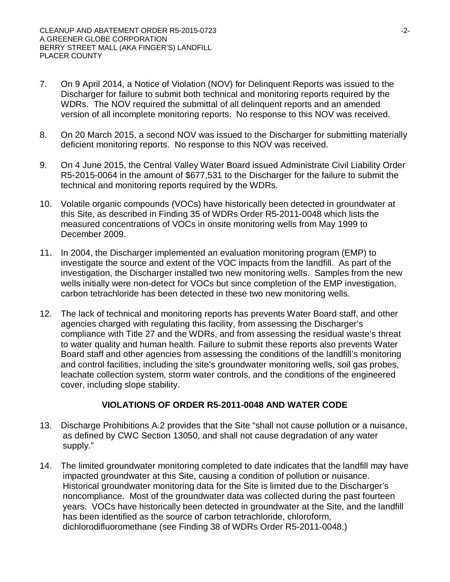- 7. On 9 April 2014, a Notice of Violation (NOV) for Delinquent Reports was issued to the Discharger for failure to submit both technical and monitoring reports required by the WDRs. The NOV required the submittal of all delinquent reports and an amended version of all incomplete monitoring reports. No response to this NOV was received.
- 8. On 20 March 2015, a second NOV was issued to the Discharger for submitting materially deficient monitoring reports. No response to this NOV was received.
- 9. On 4 June 2015, the Central Valley Water Board issued Administrate Civil Liability Order R5-2015-0064 in the amount of \$677,531 to the Discharger for the failure to submit the technical and monitoring reports required by the WDRs.
- 10. Volatile organic compounds (VOCs) have historically been detected in groundwater at this Site, as described in Finding 35 of WDRs Order R5-2011-0048 which lists the measured concentrations of VOCs in onsite monitoring wells from May 1999 to December 2009.
- 11. In 2004, the Discharger implemented an evaluation monitoring program (EMP) to investigate the source and extent of the VOC impacts from the landfill. As part of the investigation, the Discharger installed two new monitoring wells. Samples from the new wells initially were non-detect for VOCs but since completion of the EMP investigation, carbon tetrachloride has been detected in these two new monitoring wells.
- 12. The lack of technical and monitoring reports has prevents Water Board staff, and other agencies charged with regulating this facility, from assessing the Discharger's compliance with Title 27 and the WDRs, and from assessing the residual waste's threat to water quality and human health. Failure to submit these reports also prevents Water Board staff and other agencies from assessing the conditions of the landfill's monitoring and control facilities, including the site's groundwater monitoring wells, soil gas probes, leachate collection system, storm water controls, and the conditions of the engineered cover, including slope stability.

# **VIOLATIONS OF ORDER R5-2011-0048 AND WATER CODE**

- 13. Discharge Prohibitions A.2 provides that the Site "shall not cause pollution or a nuisance, as defined by CWC Section 13050, and shall not cause degradation of any water supply."
- 14. The limited groundwater monitoring completed to date indicates that the landfill may have impacted groundwater at this Site, causing a condition of pollution or nuisance. Historical groundwater monitoring data for the Site is limited due to the Discharger's noncompliance. Most of the groundwater data was collected during the past fourteen years. VOCs have historically been detected in groundwater at the Site, and the landfill has been identified as the source of carbon tetrachloride, chloroform, dichlorodifluoromethane (see Finding 38 of WDRs Order R5-2011-0048.)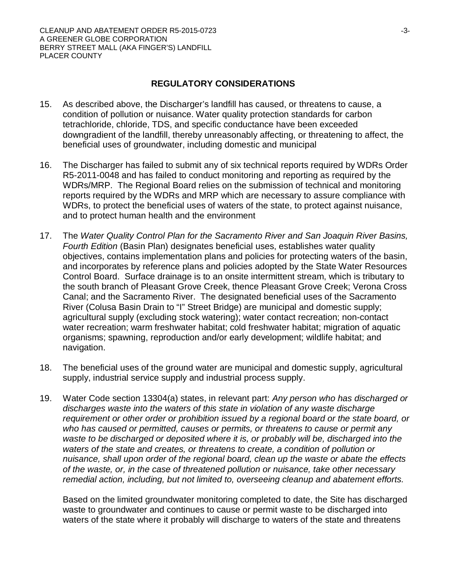#### **REGULATORY CONSIDERATIONS**

- 15. As described above, the Discharger's landfill has caused, or threatens to cause, a condition of pollution or nuisance. Water quality protection standards for carbon tetrachloride, chloride, TDS, and specific conductance have been exceeded downgradient of the landfill, thereby unreasonably affecting, or threatening to affect, the beneficial uses of groundwater, including domestic and municipal
- 16. The Discharger has failed to submit any of six technical reports required by WDRs Order R5-2011-0048 and has failed to conduct monitoring and reporting as required by the WDRs/MRP. The Regional Board relies on the submission of technical and monitoring reports required by the WDRs and MRP which are necessary to assure compliance with WDRs, to protect the beneficial uses of waters of the state, to protect against nuisance, and to protect human health and the environment
- 17. The *Water Quality Control Plan for the Sacramento River and San Joaquin River Basins, Fourth Edition* (Basin Plan) designates beneficial uses, establishes water quality objectives, contains implementation plans and policies for protecting waters of the basin, and incorporates by reference plans and policies adopted by the State Water Resources Control Board. Surface drainage is to an onsite intermittent stream, which is tributary to the south branch of Pleasant Grove Creek, thence Pleasant Grove Creek; Verona Cross Canal; and the Sacramento River. The designated beneficial uses of the Sacramento River (Colusa Basin Drain to "I" Street Bridge) are municipal and domestic supply; agricultural supply (excluding stock watering); water contact recreation; non-contact water recreation; warm freshwater habitat; cold freshwater habitat; migration of aquatic organisms; spawning, reproduction and/or early development; wildlife habitat; and navigation.
- 18. The beneficial uses of the ground water are municipal and domestic supply, agricultural supply, industrial service supply and industrial process supply.
- 19. Water Code section 13304(a) states, in relevant part: *Any person who has discharged or discharges waste into the waters of this state in violation of any waste discharge requirement or other order or prohibition issued by a regional board or the state board, or who has caused or permitted, causes or permits, or threatens to cause or permit any waste to be discharged or deposited where it is, or probably will be, discharged into the waters of the state and creates, or threatens to create, a condition of pollution or nuisance, shall upon order of the regional board, clean up the waste or abate the effects of the waste, or, in the case of threatened pollution or nuisance, take other necessary remedial action, including, but not limited to, overseeing cleanup and abatement efforts.*

Based on the limited groundwater monitoring completed to date, the Site has discharged waste to groundwater and continues to cause or permit waste to be discharged into waters of the state where it probably will discharge to waters of the state and threatens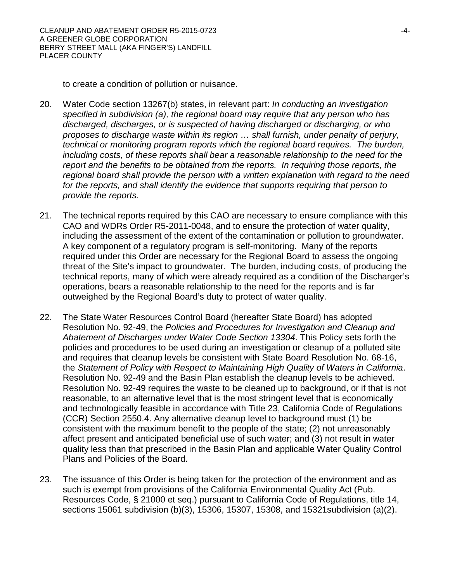to create a condition of pollution or nuisance.

- 20. Water Code section 13267(b) states, in relevant part: *In conducting an investigation specified in subdivision (a), the regional board may require that any person who has discharged, discharges, or is suspected of having discharged or discharging, or who proposes to discharge waste within its region … shall furnish, under penalty of perjury, technical or monitoring program reports which the regional board requires. The burden, including costs, of these reports shall bear a reasonable relationship to the need for the report and the benefits to be obtained from the reports. In requiring those reports, the regional board shall provide the person with a written explanation with regard to the need for the reports, and shall identify the evidence that supports requiring that person to provide the reports.*
- 21. The technical reports required by this CAO are necessary to ensure compliance with this CAO and WDRs Order R5-2011-0048, and to ensure the protection of water quality, including the assessment of the extent of the contamination or pollution to groundwater. A key component of a regulatory program is self-monitoring. Many of the reports required under this Order are necessary for the Regional Board to assess the ongoing threat of the Site's impact to groundwater. The burden, including costs, of producing the technical reports, many of which were already required as a condition of the Discharger's operations, bears a reasonable relationship to the need for the reports and is far outweighed by the Regional Board's duty to protect of water quality.
- 22. The State Water Resources Control Board (hereafter State Board) has adopted Resolution No. 92-49, the *Policies and Procedures for Investigation and Cleanup and Abatement of Discharges under Water Code Section 13304*. This Policy sets forth the policies and procedures to be used during an investigation or cleanup of a polluted site and requires that cleanup levels be consistent with State Board Resolution No. 68-16, the *Statement of Policy with Respect to Maintaining High Quality of Waters in California*. Resolution No. 92-49 and the Basin Plan establish the cleanup levels to be achieved. Resolution No. 92-49 requires the waste to be cleaned up to background, or if that is not reasonable, to an alternative level that is the most stringent level that is economically and technologically feasible in accordance with Title 23, California Code of Regulations (CCR) Section 2550.4. Any alternative cleanup level to background must (1) be consistent with the maximum benefit to the people of the state; (2) not unreasonably affect present and anticipated beneficial use of such water; and (3) not result in water quality less than that prescribed in the Basin Plan and applicable Water Quality Control Plans and Policies of the Board.
- 23. The issuance of this Order is being taken for the protection of the environment and as such is exempt from provisions of the California Environmental Quality Act (Pub. Resources Code, § 21000 et seq.) pursuant to California Code of Regulations, title 14, sections 15061 subdivision (b)(3), 15306, 15307, 15308, and 15321subdivision (a)(2).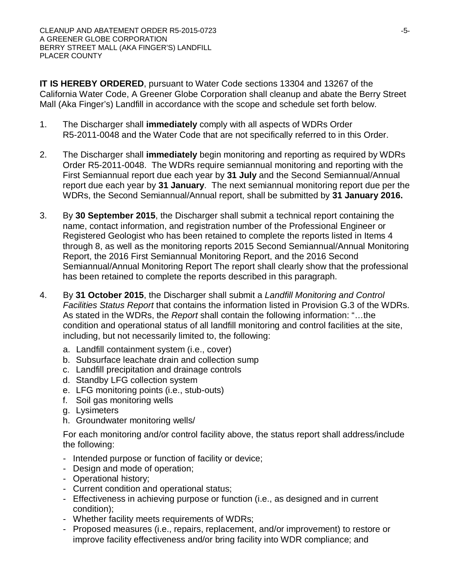**IT IS HEREBY ORDERED**, pursuant to Water Code sections 13304 and 13267 of the California Water Code, A Greener Globe Corporation shall cleanup and abate the Berry Street Mall (Aka Finger's) Landfill in accordance with the scope and schedule set forth below.

- 1. The Discharger shall **immediately** comply with all aspects of WDRs Order R5-2011-0048 and the Water Code that are not specifically referred to in this Order.
- 2. The Discharger shall **immediately** begin monitoring and reporting as required by WDRs Order R5-2011-0048. The WDRs require semiannual monitoring and reporting with the First Semiannual report due each year by **31 July** and the Second Semiannual/Annual report due each year by **31 January**. The next semiannual monitoring report due per the WDRs, the Second Semiannual/Annual report, shall be submitted by **31 January 2016.**
- 3. By **30 September 2015**, the Discharger shall submit a technical report containing the name, contact information, and registration number of the Professional Engineer or Registered Geologist who has been retained to complete the reports listed in Items 4 through 8, as well as the monitoring reports 2015 Second Semiannual/Annual Monitoring Report, the 2016 First Semiannual Monitoring Report, and the 2016 Second Semiannual/Annual Monitoring Report The report shall clearly show that the professional has been retained to complete the reports described in this paragraph.
- 4. By **31 October 2015**, the Discharger shall submit a *Landfill Monitoring and Control Facilities Status Report* that contains the information listed in Provision G.3 of the WDRs. As stated in the WDRs, the *Report* shall contain the following information: "…the condition and operational status of all landfill monitoring and control facilities at the site, including, but not necessarily limited to, the following:
	- a. Landfill containment system (i.e., cover)
	- b. Subsurface leachate drain and collection sump
	- c. Landfill precipitation and drainage controls
	- d. Standby LFG collection system
	- e. LFG monitoring points (i.e., stub-outs)
	- f. Soil gas monitoring wells
	- g. Lysimeters
	- h. Groundwater monitoring wells/

For each monitoring and/or control facility above, the status report shall address/include the following:

- Intended purpose or function of facility or device;
- Design and mode of operation;
- Operational history;
- Current condition and operational status;
- Effectiveness in achieving purpose or function (i.e., as designed and in current condition);
- Whether facility meets requirements of WDRs;
- Proposed measures (i.e., repairs, replacement, and/or improvement) to restore or improve facility effectiveness and/or bring facility into WDR compliance; and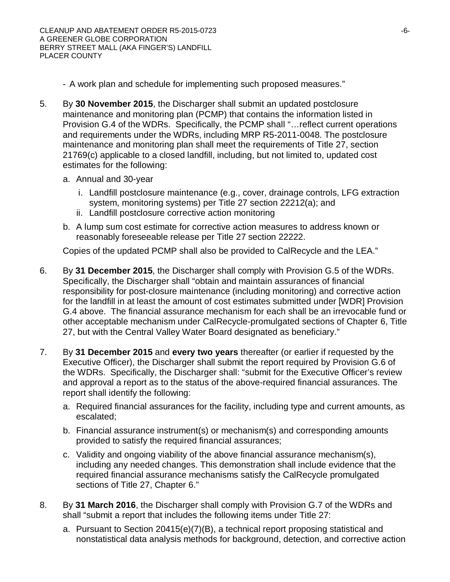- A work plan and schedule for implementing such proposed measures."
- 5. By **30 November 2015**, the Discharger shall submit an updated postclosure maintenance and monitoring plan (PCMP) that contains the information listed in Provision G.4 of the WDRs. Specifically, the PCMP shall "…reflect current operations and requirements under the WDRs, including MRP R5-2011-0048. The postclosure maintenance and monitoring plan shall meet the requirements of Title 27, section 21769(c) applicable to a closed landfill, including, but not limited to, updated cost estimates for the following:
	- a. Annual and 30-year
		- i. Landfill postclosure maintenance (e.g., cover, drainage controls, LFG extraction system, monitoring systems) per Title 27 section 22212(a); and
		- ii. Landfill postclosure corrective action monitoring
	- b. A lump sum cost estimate for corrective action measures to address known or reasonably foreseeable release per Title 27 section 22222.

Copies of the updated PCMP shall also be provided to CalRecycle and the LEA."

- 6. By **31 December 2015**, the Discharger shall comply with Provision G.5 of the WDRs. Specifically, the Discharger shall "obtain and maintain assurances of financial responsibility for post-closure maintenance (including monitoring) and corrective action for the landfill in at least the amount of cost estimates submitted under [WDR] Provision G.4 above. The financial assurance mechanism for each shall be an irrevocable fund or other acceptable mechanism under CalRecycle-promulgated sections of Chapter 6, Title 27, but with the Central Valley Water Board designated as beneficiary."
- 7. By **31 December 2015** and **every two years** thereafter (or earlier if requested by the Executive Officer), the Discharger shall submit the report required by Provision G.6 of the WDRs. Specifically, the Discharger shall: "submit for the Executive Officer's review and approval a report as to the status of the above-required financial assurances. The report shall identify the following:
	- a. Required financial assurances for the facility, including type and current amounts, as escalated;
	- b. Financial assurance instrument(s) or mechanism(s) and corresponding amounts provided to satisfy the required financial assurances;
	- c. Validity and ongoing viability of the above financial assurance mechanism(s), including any needed changes. This demonstration shall include evidence that the required financial assurance mechanisms satisfy the CalRecycle promulgated sections of Title 27, Chapter 6."
- 8. By **31 March 2016**, the Discharger shall comply with Provision G.7 of the WDRs and shall "submit a report that includes the following items under Title 27:
	- a. Pursuant to Section 20415(e)(7)(B), a technical report proposing statistical and nonstatistical data analysis methods for background, detection, and corrective action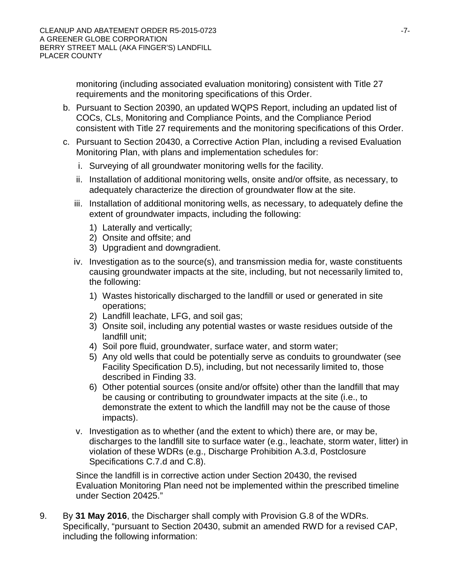monitoring (including associated evaluation monitoring) consistent with Title 27 requirements and the monitoring specifications of this Order.

- b. Pursuant to Section 20390, an updated WQPS Report, including an updated list of COCs, CLs, Monitoring and Compliance Points, and the Compliance Period consistent with Title 27 requirements and the monitoring specifications of this Order.
- c. Pursuant to Section 20430, a Corrective Action Plan, including a revised Evaluation Monitoring Plan, with plans and implementation schedules for:
	- i. Surveying of all groundwater monitoring wells for the facility.
	- ii. Installation of additional monitoring wells, onsite and/or offsite, as necessary, to adequately characterize the direction of groundwater flow at the site.
	- iii. Installation of additional monitoring wells, as necessary, to adequately define the extent of groundwater impacts, including the following:
		- 1) Laterally and vertically;
		- 2) Onsite and offsite; and
		- 3) Upgradient and downgradient.
	- iv. Investigation as to the source(s), and transmission media for, waste constituents causing groundwater impacts at the site, including, but not necessarily limited to, the following:
		- 1) Wastes historically discharged to the landfill or used or generated in site operations;
		- 2) Landfill leachate, LFG, and soil gas;
		- 3) Onsite soil, including any potential wastes or waste residues outside of the landfill unit;
		- 4) Soil pore fluid, groundwater, surface water, and storm water;
		- 5) Any old wells that could be potentially serve as conduits to groundwater (see Facility Specification D.5), including, but not necessarily limited to, those described in Finding 33.
		- 6) Other potential sources (onsite and/or offsite) other than the landfill that may be causing or contributing to groundwater impacts at the site (i.e., to demonstrate the extent to which the landfill may not be the cause of those impacts).
	- v. Investigation as to whether (and the extent to which) there are, or may be, discharges to the landfill site to surface water (e.g., leachate, storm water, litter) in violation of these WDRs (e.g., Discharge Prohibition A.3.d, Postclosure Specifications C.7.d and C.8).

Since the landfill is in corrective action under Section 20430, the revised Evaluation Monitoring Plan need not be implemented within the prescribed timeline under Section 20425."

9. By **31 May 2016**, the Discharger shall comply with Provision G.8 of the WDRs. Specifically, "pursuant to Section 20430, submit an amended RWD for a revised CAP, including the following information: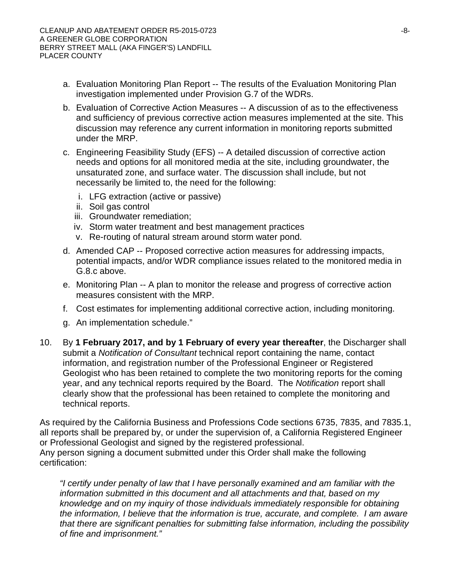- a. Evaluation Monitoring Plan Report -- The results of the Evaluation Monitoring Plan investigation implemented under Provision G.7 of the WDRs.
- b. Evaluation of Corrective Action Measures -- A discussion of as to the effectiveness and sufficiency of previous corrective action measures implemented at the site. This discussion may reference any current information in monitoring reports submitted under the MRP.
- c. Engineering Feasibility Study (EFS) -- A detailed discussion of corrective action needs and options for all monitored media at the site, including groundwater, the unsaturated zone, and surface water. The discussion shall include, but not necessarily be limited to, the need for the following:
	- i. LFG extraction (active or passive)
	- ii. Soil gas control
	- iii. Groundwater remediation;
	- iv. Storm water treatment and best management practices
	- v. Re-routing of natural stream around storm water pond.
- d. Amended CAP -- Proposed corrective action measures for addressing impacts, potential impacts, and/or WDR compliance issues related to the monitored media in G.8.c above.
- e. Monitoring Plan -- A plan to monitor the release and progress of corrective action measures consistent with the MRP.
- f. Cost estimates for implementing additional corrective action, including monitoring.
- g. An implementation schedule."
- 10. By **1 February 2017, and by 1 February of every year thereafter**, the Discharger shall submit a *Notification of Consultant* technical report containing the name, contact information, and registration number of the Professional Engineer or Registered Geologist who has been retained to complete the two monitoring reports for the coming year, and any technical reports required by the Board. The *Notification* report shall clearly show that the professional has been retained to complete the monitoring and technical reports.

As required by the California Business and Professions Code sections 6735, 7835, and 7835.1, all reports shall be prepared by, or under the supervision of, a California Registered Engineer or Professional Geologist and signed by the registered professional. Any person signing a document submitted under this Order shall make the following certification:

*"I certify under penalty of law that I have personally examined and am familiar with the information submitted in this document and all attachments and that, based on my knowledge and on my inquiry of those individuals immediately responsible for obtaining the information, I believe that the information is true, accurate, and complete. I am aware that there are significant penalties for submitting false information, including the possibility of fine and imprisonment."*